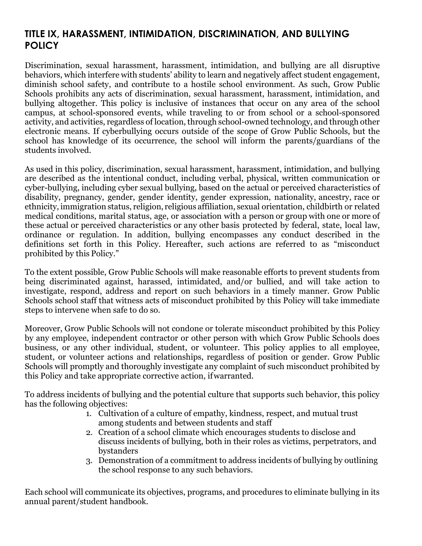# **TITLE IX, HARASSMENT, INTIMIDATION, DISCRIMINATION, AND BULLYING POLICY**

Discrimination, sexual harassment, harassment, intimidation, and bullying are all disruptive behaviors, which interfere with students' ability to learn and negatively affect student engagement, diminish school safety, and contribute to a hostile school environment. As such, Grow Public Schools prohibits any acts of discrimination, sexual harassment, harassment, intimidation, and bullying altogether. This policy is inclusive of instances that occur on any area of the school campus, at school-sponsored events, while traveling to or from school or a school-sponsored activity, and activities, regardless of location, through school-owned technology, and through other electronic means. If cyberbullying occurs outside of the scope of Grow Public Schools, but the school has knowledge of its occurrence, the school will inform the parents/guardians of the students involved.

As used in this policy, discrimination, sexual harassment, harassment, intimidation, and bullying are described as the intentional conduct, including verbal, physical, written communication or cyber-bullying, including cyber sexual bullying, based on the actual or perceived characteristics of disability, pregnancy, gender, gender identity, gender expression, nationality, ancestry, race or ethnicity, immigration status, religion, religious affiliation, sexual orientation, childbirth or related medical conditions, marital status, age, or association with a person or group with one or more of these actual or perceived characteristics or any other basis protected by federal, state, local law, ordinance or regulation. In addition, bullying encompasses any conduct described in the definitions set forth in this Policy. Hereafter, such actions are referred to as "misconduct prohibited by this Policy."

To the extent possible, Grow Public Schools will make reasonable efforts to prevent students from being discriminated against, harassed, intimidated, and/or bullied, and will take action to investigate, respond, address and report on such behaviors in a timely manner. Grow Public Schools school staff that witness acts of misconduct prohibited by this Policy will take immediate steps to intervene when safe to do so.

Moreover, Grow Public Schools will not condone or tolerate misconduct prohibited by this Policy by any employee, independent contractor or other person with which Grow Public Schools does business, or any other individual, student, or volunteer. This policy applies to all employee, student, or volunteer actions and relationships, regardless of position or gender. Grow Public Schools will promptly and thoroughly investigate any complaint of such misconduct prohibited by this Policy and take appropriate corrective action, ifwarranted.

To address incidents of bullying and the potential culture that supports such behavior, this policy has the following objectives:

- 1. Cultivation of a culture of empathy, kindness, respect, and mutual trust among students and between students and staff
- 2. Creation of a school climate which encourages students to disclose and discuss incidents of bullying, both in their roles as victims, perpetrators, and bystanders
- 3. Demonstration of a commitment to address incidents of bullying by outlining the school response to any such behaviors.

Each school will communicate its objectives, programs, and procedures to eliminate bullying in its annual parent/student handbook.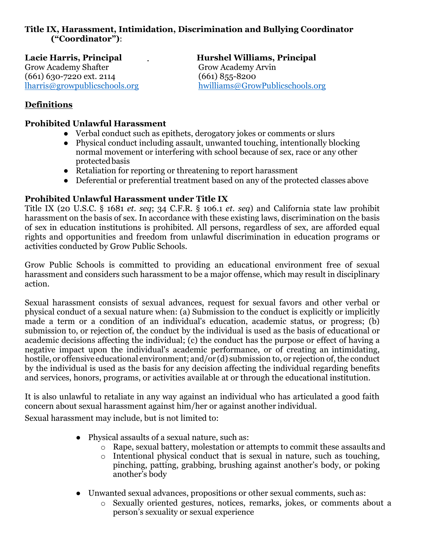## **Title IX, Harassment, Intimidation, Discrimination and Bullying Coordinator ("Coordinator")**:

Grow Academy Shafter Grow Academy Arvin<br>
(661) 630-7220 ext. 2114 (661) 855-8200  $(661)$  630-7220 ext. 2114

Lacie Harris, Principal **Hurshel Williams, Principal** [lharris@growpublicschools.org](mailto:lharris@growpublicschools.org) [hwilliams@GrowPublicschools.org](mailto:hwilliams@GrowPublicschools.org) 

## **Definitions**

## **Prohibited Unlawful Harassment**

- Verbal conduct such as epithets, derogatory jokes or comments or slurs
- Physical conduct including assault, unwanted touching, intentionally blocking normal movement or interfering with school because of sex, race or any other protectedbasis
- Retaliation for reporting or threatening to report harassment
- Deferential or preferential treatment based on any of the protected classes above

## **Prohibited Unlawful Harassment under Title IX**

Title IX (20 U.S.C. § 1681 *et. seq*; 34 C.F.R. § 106.1 *et. seq*) and California state law prohibit harassment on the basis of sex. In accordance with these existing laws, discrimination on the basis of sex in education institutions is prohibited. All persons, regardless of sex, are afforded equal rights and opportunities and freedom from unlawful discrimination in education programs or activities conducted by Grow Public Schools.

Grow Public Schools is committed to providing an educational environment free of sexual harassment and considers such harassment to be a major offense, which may result in disciplinary action.

Sexual harassment consists of sexual advances, request for sexual favors and other verbal or physical conduct of a sexual nature when: (a) Submission to the conduct is explicitly or implicitly made a term or a condition of an individual's education, academic status, or progress; (b) submission to, or rejection of, the conduct by the individual is used as the basis of educational or academic decisions affecting the individual; (c) the conduct has the purpose or effect of having a negative impact upon the individual's academic performance, or of creating an intimidating, hostile, or offensive educational environment; and/or (d) submission to, or rejection of, the conduct by the individual is used as the basis for any decision affecting the individual regarding benefits and services, honors, programs, or activities available at or through the educational institution.

It is also unlawful to retaliate in any way against an individual who has articulated a good faith concern about sexual harassment against him/her or against another individual.

Sexual harassment may include, but is not limited to:

- Physical assaults of a sexual nature, such as:
	- o Rape, sexual battery, molestation or attempts to commit these assaults and
	- o Intentional physical conduct that is sexual in nature, such as touching, pinching, patting, grabbing, brushing against another's body, or poking another's body
- Unwanted sexual advances, propositions or other sexual comments, such as:
	- o Sexually oriented gestures, notices, remarks, jokes, or comments about a person's sexuality or sexual experience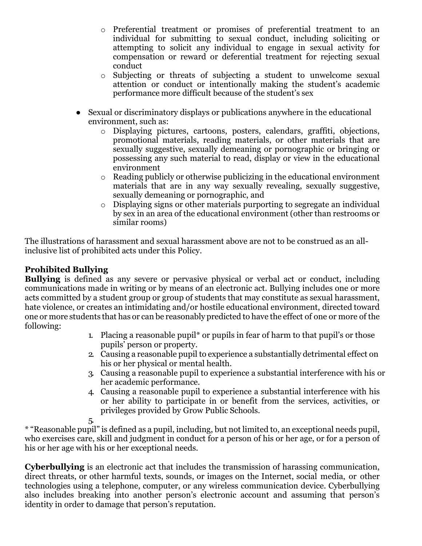- o Preferential treatment or promises of preferential treatment to an individual for submitting to sexual conduct, including soliciting or attempting to solicit any individual to engage in sexual activity for compensation or reward or deferential treatment for rejecting sexual conduct
- o Subjecting or threats of subjecting a student to unwelcome sexual attention or conduct or intentionally making the student's academic performance more difficult because of the student's sex
- Sexual or discriminatory displays or publications anywhere in the educational environment, such as:
	- o Displaying pictures, cartoons, posters, calendars, graffiti, objections, promotional materials, reading materials, or other materials that are sexually suggestive, sexually demeaning or pornographic or bringing or possessing any such material to read, display or view in the educational environment
	- o Reading publicly or otherwise publicizing in the educational environment materials that are in any way sexually revealing, sexually suggestive, sexually demeaning or pornographic, and
	- o Displaying signs or other materials purporting to segregate an individual by sex in an area of the educational environment (other than restrooms or similar rooms)

The illustrations of harassment and sexual harassment above are not to be construed as an allinclusive list of prohibited acts under this Policy.

## **Prohibited Bullying**

**Bullying** is defined as any severe or pervasive physical or verbal act or conduct, including communications made in writing or by means of an electronic act. Bullying includes one or more acts committed by a student group or group of students that may constitute as sexual harassment, hate violence, or creates an intimidating and/or hostile educational environment, directed toward one or more students that has or can be reasonably predicted to have the effect of one or more of the following:

- 1. Placing a reasonable pupil\* or pupils in fear of harm to that pupil's or those pupils' person or property.
- 2. Causing a reasonable pupil to experience a substantially detrimental effect on his or her physical or mental health.
- 3. Causing a reasonable pupil to experience a substantial interference with his or her academic performance.
- 4. Causing a reasonable pupil to experience a substantial interference with his or her ability to participate in or benefit from the services, activities, or privileges provided by Grow Public Schools.

5.

\* "Reasonable pupil" is defined as a pupil, including, but not limited to, an exceptional needs pupil, who exercises care, skill and judgment in conduct for a person of his or her age, or for a person of his or her age with his or her exceptional needs.

**Cyberbullying** is an electronic act that includes the transmission of harassing communication, direct threats, or other harmful texts, sounds, or images on the Internet, social media, or other technologies using a telephone, computer, or any wireless communication device. Cyberbullying also includes breaking into another person's electronic account and assuming that person's identity in order to damage that person's reputation.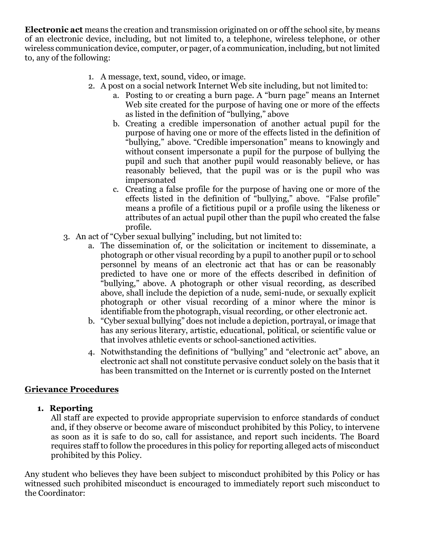**Electronic act** means the creation and transmission originated on or off the school site, by means of an electronic device, including, but not limited to, a telephone, wireless telephone, or other wireless communication device, computer, or pager, of a communication, including, but not limited to, any of the following:

- 1. A message, text, sound, video, or image.
- 2. A post on a social network Internet Web site including, but not limited to:
	- a. Posting to or creating a burn page. A "burn page" means an Internet Web site created for the purpose of having one or more of the effects as listed in the definition of "bullying," above
	- b. Creating a credible impersonation of another actual pupil for the purpose of having one or more of the effects listed in the definition of "bullying," above. "Credible impersonation" means to knowingly and without consent impersonate a pupil for the purpose of bullying the pupil and such that another pupil would reasonably believe, or has reasonably believed, that the pupil was or is the pupil who was impersonated
	- c. Creating a false profile for the purpose of having one or more of the effects listed in the definition of "bullying," above. "False profile" means a profile of a fictitious pupil or a profile using the likeness or attributes of an actual pupil other than the pupil who created the false profile.
- 3. An act of "Cyber sexual bullying" including, but not limited to:
	- a. The dissemination of, or the solicitation or incitement to disseminate, a photograph or other visual recording by a pupil to another pupil or to school personnel by means of an electronic act that has or can be reasonably predicted to have one or more of the effects described in definition of "bullying," above. A photograph or other visual recording, as described above, shall include the depiction of a nude, semi-nude, or sexually explicit photograph or other visual recording of a minor where the minor is identifiable from the photograph, visual recording, or other electronic act.
	- b. "Cyber sexual bullying" does not include a depiction, portrayal, or image that has any serious literary, artistic, educational, political, or scientific value or that involves athletic events or school-sanctioned activities.
	- 4. Notwithstanding the definitions of "bullying" and "electronic act" above, an electronic act shall not constitute pervasive conduct solely on the basis that it has been transmitted on the Internet or is currently posted on the Internet

## **Grievance Procedures**

## **1. Reporting**

All staff are expected to provide appropriate supervision to enforce standards of conduct and, if they observe or become aware of misconduct prohibited by this Policy, to intervene as soon as it is safe to do so, call for assistance, and report such incidents. The Board requires staff to follow the procedures in this policy for reporting alleged acts of misconduct prohibited by this Policy.

Any student who believes they have been subject to misconduct prohibited by this Policy or has witnessed such prohibited misconduct is encouraged to immediately report such misconduct to the Coordinator: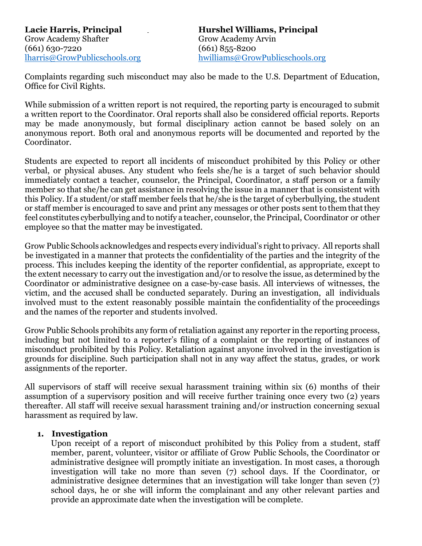Grow Academy Shafter Grow Academy Arvin (661) 630-7220 (661) 630-7220<br>
lharris@GrowPublicschools.org hwilliams@Grow

Lacie Harris, Principal **Hurshel Williams, Principal** hwilliams@GrowPublicschools.org

Complaints regarding such misconduct may also be made to the U.S. Department of Education, Office for Civil Rights.

While submission of a written report is not required, the reporting party is encouraged to submit a written report to the Coordinator. Oral reports shall also be considered official reports. Reports may be made anonymously, but formal disciplinary action cannot be based solely on an anonymous report. Both oral and anonymous reports will be documented and reported by the Coordinator.

Students are expected to report all incidents of misconduct prohibited by this Policy or other verbal, or physical abuses. Any student who feels she/he is a target of such behavior should immediately contact a teacher, counselor, the Principal, Coordinator, a staff person or a family member so that she/he can get assistance in resolving the issue in a manner that is consistent with this Policy. If a student/or staff member feels that he/she is the target of cyberbullying, the student or staff member is encouraged to save and print any messages or other posts sent to them thatthey feel constitutes cyberbullying and to notify a teacher, counselor,the Principal, Coordinator or other employee so that the matter may be investigated.

Grow Public Schools acknowledges and respects every individual's right to privacy. All reports shall be investigated in a manner that protects the confidentiality of the parties and the integrity of the process. This includes keeping the identity of the reporter confidential, as appropriate, except to the extent necessary to carry out the investigation and/or to resolve the issue, as determined by the Coordinator or administrative designee on a case-by-case basis. All interviews of witnesses, the victim, and the accused shall be conducted separately. During an investigation, all individuals involved must to the extent reasonably possible maintain the confidentiality of the proceedings and the names of the reporter and students involved.

Grow Public Schools prohibits any form of retaliation against any reporter in the reporting process, including but not limited to a reporter's filing of a complaint or the reporting of instances of misconduct prohibited by this Policy. Retaliation against anyone involved in the investigation is grounds for discipline. Such participation shall not in any way affect the status, grades, or work assignments of the reporter.

All supervisors of staff will receive sexual harassment training within six (6) months of their assumption of a supervisory position and will receive further training once every two (2) years thereafter. All staff will receive sexual harassment training and/or instruction concerning sexual harassment as required by law.

#### **1. Investigation**

Upon receipt of a report of misconduct prohibited by this Policy from a student, staff member, parent, volunteer, visitor or affiliate of Grow Public Schools, the Coordinator or administrative designee will promptly initiate an investigation. In most cases, a thorough investigation will take no more than seven (7) school days. If the Coordinator, or administrative designee determines that an investigation will take longer than seven (7) school days, he or she will inform the complainant and any other relevant parties and provide an approximate date when the investigation will be complete.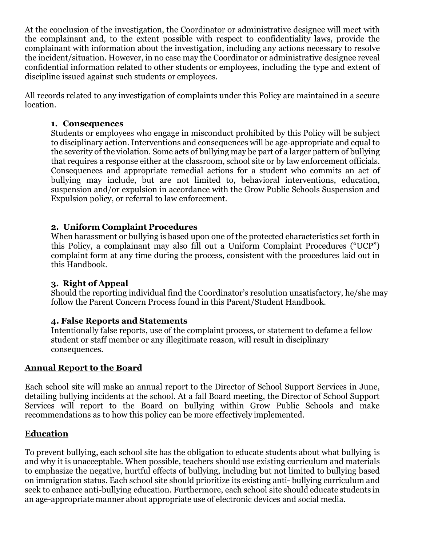At the conclusion of the investigation, the Coordinator or administrative designee will meet with the complainant and, to the extent possible with respect to confidentiality laws, provide the complainant with information about the investigation, including any actions necessary to resolve the incident/situation. However, in no case may the Coordinator or administrative designee reveal confidential information related to other students or employees, including the type and extent of discipline issued against such students or employees.

All records related to any investigation of complaints under this Policy are maintained in a secure location.

### **1. Consequences**

Students or employees who engage in misconduct prohibited by this Policy will be subject to disciplinary action. Interventions and consequences will be age-appropriate and equal to the severity of the violation. Some acts of bullying may be part of a larger pattern of bullying that requires a response either at the classroom, school site or by law enforcement officials. Consequences and appropriate remedial actions for a student who commits an act of bullying may include, but are not limited to, behavioral interventions, education, suspension and/or expulsion in accordance with the Grow Public Schools Suspension and Expulsion policy, or referral to law enforcement.

## **2. Uniform Complaint Procedures**

When harassment or bullying is based upon one of the protected characteristics set forth in this Policy, a complainant may also fill out a Uniform Complaint Procedures ("UCP") complaint form at any time during the process, consistent with the procedures laid out in this Handbook.

#### **3. Right of Appeal**

Should the reporting individual find the Coordinator's resolution unsatisfactory, he/she may follow the Parent Concern Process found in this Parent/Student Handbook.

## **4. False Reports and Statements**

Intentionally false reports, use of the complaint process, or statement to defame a fellow student or staff member or any illegitimate reason, will result in disciplinary consequences.

## **Annual Report to the Board**

Each school site will make an annual report to the Director of School Support Services in June, detailing bullying incidents at the school. At a fall Board meeting, the Director of School Support Services will report to the Board on bullying within Grow Public Schools and make recommendations as to how this policy can be more effectively implemented.

#### **Education**

To prevent bullying, each school site has the obligation to educate students about what bullying is and why it is unacceptable. When possible, teachers should use existing curriculum and materials to emphasize the negative, hurtful effects of bullying, including but not limited to bullying based on immigration status. Each school site should prioritize its existing anti- bullying curriculum and seek to enhance anti-bullying education. Furthermore, each school site should educate students in an age-appropriate manner about appropriate use of electronic devices and social media.